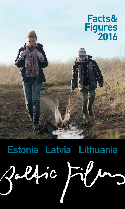

# Estonia Latvia Lithuania $24ic$  $F\prime\sim$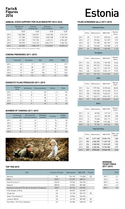### **Figures 2016**

#### **ANNUAL STATE SUPPORT FOR FILM INDUSTRY 2012-2016**

|      | Ministry of<br>Culture | Cultural<br>Endowment | Estonian<br>Film Institute | Total      |
|------|------------------------|-----------------------|----------------------------|------------|
|      | <b>EUR</b>             | <b>EUR</b>            | <b>EUR</b>                 | <b>EUR</b> |
| 2012 | 1063288                | 1 664 001             | 3 4 3 4 3 8 4              | 6 161 673  |
| 2013 | 571 000                | 1 732 822             | 3824938                    | 6 128 760  |
| 2014 | 341 000                | 1921296               | 4692311                    | 6954607    |
| 2015 | 725 390                | 1 673 159             | 4842174*                   | 7 240 723  |
| 2016 | 640 000                | 2004779               | 7745833*                   | 10 390 612 |

\* includes Estonian Republic 100 Years film production support

#### **CINEMA PREMIERES 2011-2015**

|      | Domestic | European | <b>USA</b> | Other | Total |
|------|----------|----------|------------|-------|-------|
| 2011 | 23       | 71       | 117        | 6     | 217   |
| 2012 | 24       | 86       | 109        | 9     | 228   |
| 2013 | 22       | 80       | 121        | 12    | 235   |
| 2014 | 21       | 103      | 106        | 13    | 243   |
| 2015 | 32       | 113      | 119        | 12    | 276   |

#### **DOMESTIC FILMS PRODUCED 2011-2015**

|      | Feature<br>films | Animation | Documentaries | Shorts | Total |
|------|------------------|-----------|---------------|--------|-------|
| 2011 | $\mathbf{z}$     | 6         | 35            | 5      | 53    |
| 2012 | 10               | 8         | 34            | 4      | 56    |
| 2013 | 7                | 7         | 30            | っ      | 44    |
| 2014 | 6                | 8         | 28            | 7      | 49    |
| 2015 | -                | 5         | 43            | 8      |       |

#### **NUMBER OF CINEMAS 2011-2015**

|      | Screening<br>places (all) | Permanently<br>working cinemas | <b>Multiplex</b><br>cinemas | <b>Screens</b> | Digital<br>screens |
|------|---------------------------|--------------------------------|-----------------------------|----------------|--------------------|
| 2011 | 49                        | 12                             | 3                           | 74             | 18                 |
| 2012 | 45                        | 10                             | 3                           | 70             | 18                 |
| 2013 | 45                        | 10                             | 3                           | 70             | 29                 |
| 2014 | 48                        | 11                             | 3                           | 81             | 51                 |
| 2015 | 49                        | 11                             | 3                           | 81             | 56                 |



# Facts&<br>Figures<br>2016

#### **FILMS SCREENED (all) 2011-2015**

| Domestic films  |       |            |                |                 |
|-----------------|-------|------------|----------------|-----------------|
|                 | Films | Admissions | <b>GBO EUR</b> | Market<br>share |
| 2011            | 48    | 171391     | 550 324        | 6.94            |
| 2012            | 49    | 195844     | 761 097        | 7.57            |
| 2013            | 50    | 151 398    | 581 259        | 5.90            |
| 2014            | 28    | 123 065    | 520 488        | 4.73            |
| 2015            | 64    | 350 635    | 1 435 253      | 11,33           |
| <b>European</b> |       |            |                |                 |

|      | Films | Admissions | <b>GBO EUR</b> | Market<br>share |  |
|------|-------|------------|----------------|-----------------|--|
| 2011 | 126   | 272 256    | 1 103 189      | 10,52           |  |
| 2012 | 166   | 399 327    | 1 739 504      | 15.44           |  |
| 2013 | 153   | 346 177    | 1524913        | 13.53           |  |
| 2014 | 148   | 518 733    | 2394119        | 19.95           |  |
| 2015 | 159   | 701 793    | 3 410 303      | 21.91           |  |
| USA  |       |            |                |                 |  |

|      | Films | Admissions | <b>GBO EUR</b> | Market<br>share |
|------|-------|------------|----------------|-----------------|
| 2011 | 164   | 1997556    | 8 278 635      | 80.83           |
| 2012 | 166   | 1945 205   | 8743348        | 75,19           |
| 2013 | 158   | 1990330    | 9 332 041      | 77.79           |
| 2014 | 157   | 1765517    | 8824290        | 67,90           |
| 2015 | 140   | 1961698    | 10 263 837     | 63.42           |

Other

|      | Films | Admissions | <b>GBO EUR</b> | Market<br>share |
|------|-------|------------|----------------|-----------------|
| 2011 | 13    | 30 025     | 119 167        | 1,21            |
| 2012 | 14    | 46 619     | 185 189        | 1.80            |
| 2013 | 15    | 70 648     | 372 117        | 2.76            |
| 2014 | 20    | 192889     | 1015686        | 7.42            |
| 2015 | 16    | 79 156     | 457 346        | 2.56            |
|      |       |            |                |                 |

| <b>Total All Films</b> |       |            |                |                    |
|------------------------|-------|------------|----------------|--------------------|
|                        | Films | Admissions | <b>GBO EUR</b> | Adm. per<br>Capita |
| 2011                   | 351   | 2 471 228  | 10 051 315     | 1,80               |
| 2012                   | 395   | 2586995    | 11 429 139     | 1,96               |
| 2013                   | 376   | 2 558 553  | 11810329       | 1,93               |
| 2014                   | 353   | 2 600 204  | 12 754 583     | 1,97               |
| 2015                   | 379   | 3 093 281  | 15 566 739     | 2,36               |

#### **AVERAGE TICKET PRICE 2011-2015**

|      | EUR |
|------|-----|
| 2011 | 4.1 |
| 2012 | 4.4 |
| 2013 | 4,6 |
| 2014 | 4.9 |
| 2015 | 5,0 |

#### **TOP TEN 2015**

| Title                                              | Country of Origin | Admissions | <b>GBO EUR</b> | Format |
|----------------------------------------------------|-------------------|------------|----------------|--------|
| <b>Minions</b>                                     | US                | 156 104    | 714820         | 3D     |
| 1944                                               | EE/FI             | 115 599    | 508 761        |        |
| Fast & Furious 7                                   | US/JP             | 99 552     | 536 754        |        |
| Spectre                                            | GB/US             | 96862      | 586 382        |        |
| Supilinna salaselts/The Secret Society of Souptown | EE/FI             | 90 746     | 325 007        |        |
| <b>Fifty Shades of Grey</b>                        | US                | 85 037     | 460 587        |        |
| Inside Out                                         | US                | 76 218     | 335 197        | 3D     |
| Hotel Transylvania 2                               | US                | 69866      | 326 036        |        |
| Jurassic World                                     | US                | 63745      | 387869         | 3D     |
| Star Wars: The Force Awakens                       | US                | 60 386     | 428 445        | 3D     |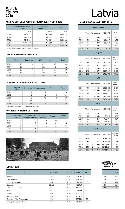#### Facts&<br>Figures<br>2016 **Figures 2016**

#### **ANNUAL STATE SUPPORT FOR FILM INDUSTRY 2012-2016**

|      | National Film Centre<br>of Latvia | <b>Culture Capital</b><br>Foundation | Total      |
|------|-----------------------------------|--------------------------------------|------------|
|      | <b>EUR</b>                        | <b>EUR</b>                           | <b>EUR</b> |
| 2012 | 1 514 323                         | 540 455                              | 2054778    |
| 2013 | 2086496                           | 567 679                              | 2654175    |
| 2014 | 3517121                           | 789 609                              | 4 306 730  |
| 2015 | 4891600*                          | 856 229                              | 5747829    |
| 2016 | 5846065*                          | 855 854                              | 6701919    |

\* includes Latvian Republic 100 Years film production support

#### **CINEMA PREMIERES 2011-2015**

|      | Domestic | European | <b>USA</b> | Other | Total |
|------|----------|----------|------------|-------|-------|
| 2011 | 28       | 116      | 117        | 42    | 303   |
| 2012 | 24       | 66       | 106        | 4     | 200   |
| 2013 | 27       | 50       | 116        | 27    | 220   |
| 2014 | 51       | 66       | 89         | 13    | 219   |
| 2015 | 25       | 116      | 133        | 16    | 291   |

#### **DOMESTIC FILMS PRODUCED 2011-2015**

|      | Feature<br>films | Animation | <b>Documentaries</b> | Shorts | Total |
|------|------------------|-----------|----------------------|--------|-------|
| 2011 | $5*$             | 4         | 17                   |        | 28    |
| 2012 | 6                | 8         | 8                    | 2      | 24    |
| 2013 | 4                | 3         | 18                   | 2      | 27    |
| 2014 | $7**$            | 11        | 30                   | 4      | 52    |
| 2015 | 3                |           | 23                   | 16     | 56    |

\* 1 Feature length animation \*\* 2 Feature length animation

#### **NUMBER OF CINEMAS 2011-2015**

|      | Screening<br>places (all) | Permanently<br>working cinemas | <b>Multiplex</b><br>cinemas | Screens | Digital<br>screens |
|------|---------------------------|--------------------------------|-----------------------------|---------|--------------------|
| 2011 | 26                        | 17                             | 4                           | 63      | 15                 |
| 2012 | 25                        | 17                             | 4                           | 62      | 28                 |
| 2013 | 32                        | 14                             | 4                           | 66      | 36                 |
| 2014 | 29                        | 15                             | 4                           | 64      | 44                 |
| 2015 | 22                        | 16                             | 4                           | 58      | 57                 |



#### **FILMS SCREENED (all) 2011-2015**

| Domestic films |       |            |                |                 |  |  |
|----------------|-------|------------|----------------|-----------------|--|--|
|                | Films | Admissions | <b>GBO EUR</b> | Market<br>share |  |  |
| 2011           | 70    | 92 386     | 135 496        | 4,48            |  |  |
| 2012           | 56    | 103 040    | 284 317        | 4.51            |  |  |
| 2013           | 97    | 143 379    | 228 368        | 6,03            |  |  |
| 2014           | 109   | 175 207    | 443717         | 7,58            |  |  |
| 2015           | 92    | 103 598    | 239 879        | 4.39            |  |  |

|      | <b>European</b> |            |                |                 |  |  |  |
|------|-----------------|------------|----------------|-----------------|--|--|--|
|      | Films           | Admissions | <b>GBO EUR</b> | Market<br>share |  |  |  |
| 2011 | 156             | 192 435    | 870 260        | 9.34            |  |  |  |
| 2012 | 157             | 445 919    | 1802817        | 19.50           |  |  |  |
| 2013 | 231             | 267 900    | 1 114 170      | 11,27           |  |  |  |
| 2014 | 210             | 493 570    | 2 201 469      | 21,36           |  |  |  |
| 2015 | 256             | 442 171    | 2 005 353      | 18.75           |  |  |  |
|      |                 | USA        |                |                 |  |  |  |

|      | Films | Admissions | <b>GBO EUR</b> | Market<br>share |
|------|-------|------------|----------------|-----------------|
| 2011 | 194   | 1675126    | 6802103        | 81.27           |
| 2012 | 149   | 1718729    | 7560592        | 75.17           |
| 2013 | 191   | 1768 158   | 7998473        | 74.36           |
| 2014 | 170   | 1 503 833  | 6845648        | 65.07           |
| 2015 | 164   | 1 750 281  | 8 6 3 4 1 0 3  | 74.24           |
|      |       |            |                |                 |

**Other** 

#### Films Admissions GBO EUR Market share 2011 51 101 202 580 911 4,91 2012 22 18 654 108 015 0,82 2013 77 198 249 968 874 8,34 2014 47 138 521 686 497 5,99 2015 45 61 662 287 529 2,62

| <b>Total All Films</b> |       |               |                |                    |  |  |  |
|------------------------|-------|---------------|----------------|--------------------|--|--|--|
|                        | Films | Admissions    | <b>GBO EUR</b> | Adm. per<br>Capita |  |  |  |
| 2011                   | 471   | 2061149       | 8388770        | 1,00               |  |  |  |
| 2012                   | 384   | 2 2 8 4 3 4 2 | 9755740        | 1,13               |  |  |  |
| 2013                   | 596   | 2 377 686     | 10 309 885     | 1,18               |  |  |  |
| 2014                   | 536   | 2 311 131     | 10 177 331     | 1,16               |  |  |  |
| 2015                   | 557   | 2 3 5 7 7 1 2 | 11 166 864     | 1.20               |  |  |  |

#### **AVERAGE TICKET PRICE 2011-2015**

|      | EUR  |
|------|------|
| 2011 | 4,07 |
| 2012 | 4.27 |
| 2013 | 4.42 |
| 2014 | 4.64 |
| 2015 | 4.81 |

#### **TOP TEN 2015**

| <b>Title</b>                 | <b>Country of Origin</b> | Admissions | <b>GBO EUR</b> | Format |
|------------------------------|--------------------------|------------|----------------|--------|
| <b>Minions</b>               | US                       | 168 035    | 758 267        | 3D     |
| Fast & Furious 7             | US/JP                    | 87374      | 449 507        |        |
| Hotel Transylvania 2         | US                       | 84 106     | 379 907        | 3D     |
| Spectre                      | GB/US                    | 80 919     | 438 561        |        |
| <b>Fifty Shades of Grey</b>  | US                       | 80 131     | 416318         |        |
| Home                         | US                       | 58 611     | 259 698        | 3D     |
| Inside Out                   | US                       | 58 530     | 253 731        | 3D     |
| Jurassic World               | US                       | 54 204     | 280 671        | 3D     |
| Star Wars: The Force Awakens | US                       | 50 268     | 287 506        | 3D     |
| SpongeBob SquarePants        | US                       | 48 937     | 217 294        | 3D     |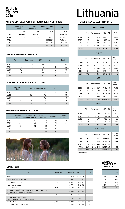### **Figures 2016**

#### **ANNUAL STATE SUPPORT FOR FILM INDUSTRY 2012-2016**

|      | Ministry of<br>Culture | Cultural<br>Foundation | Lithuanian Film<br>Centre | Total         |
|------|------------------------|------------------------|---------------------------|---------------|
|      | <b>EUR</b>             | <b>EUR</b>             | <b>EUR</b>                | <b>EUR</b>    |
| 2012 | 1 323 665              | 625 290                | 0                         | 1948955       |
| 2013 |                        |                        | 2 751 391                 | 2751391       |
| 2014 | -                      |                        | 3 0 2 4 5 0 1             | 3 0 2 4 5 0 1 |
| 2015 | -                      |                        | 3 078 652                 | 3078652       |
| 2016 | -                      | -                      | 3 078 652                 | 3078652       |

#### **CINEMA PREMIERES 2011-2015**

|      | Domestic | European | <b>USA</b> | Other | Total |
|------|----------|----------|------------|-------|-------|
| 2011 | 10       | 63       | 109        | 3     | 185   |
| 2012 | 6        | 82       | 89         | 9     | 186   |
| 2013 | 15       | 56       | 119        | 5     | 195   |
| 2014 | 14       | 66       | 101        | 6     | 187   |
| 2015 | 10       | 82       | 112        | 8     | 212   |

#### **DOMESTIC FILMS PRODUCED 2011-2015**

|      | Feature<br>films | Animation | Documentaries | <b>Shorts</b> | Total |
|------|------------------|-----------|---------------|---------------|-------|
| 2011 | $\overline{2}$   | 8         | 9             | 19            | 38    |
| 2012 | 4                | 10        | 18            |               | 33    |
| 2013 | 11               | 7         | 17            | 5             | 40    |
| 2014 | 8                | 7         | 18            | 7             | 40    |
| 2015 | 11               | 4         | 11            | o             | 35    |

#### **NUMBER OF CINEMAS 2011-2015**

|      | Screening<br>places (all) | Permanently<br>working cinemas | Multiplex<br>cinemas | <b>Screens</b> | Digital<br>screens |
|------|---------------------------|--------------------------------|----------------------|----------------|--------------------|
| 2011 | 45                        | 42                             | 9                    | 95             | 18                 |
| 2012 | 42                        | 42                             | 9                    | 95             | 21                 |
| 2013 | 42                        | 32                             | 10                   | 95             | 44                 |
| 2014 | 42                        | 32                             | 10                   | 95             | 44                 |
| 2015 | 42                        | 32                             | 10                   | 95             | 44                 |



# Facts&<br>Figures<br>2016 **Lithuania**

#### **FILMS SCREENED (all) 2011-2015**

| Domestic films |       |            |                |                 |  |
|----------------|-------|------------|----------------|-----------------|--|
|                | Films | Admissions | <b>GBO EUR</b> | Market<br>share |  |
| 2011*          | 12    | 296 693    | 1065697        | 10.44           |  |
| 2012*          | 10    | 80 469     | 285 244        | 2,88            |  |
| 2013*          | 17    | 510924     | 2045844        | 16,49           |  |
| 2014           | 21    | 747 001    | 3 3 3 8 2 9    | 23.18           |  |
| 2015           | 21    | 465370     | 2 126 232      | 13.81           |  |

| <b>European</b> |       |            |                |                 |  |
|-----------------|-------|------------|----------------|-----------------|--|
|                 | Films | Admissions | <b>GBO EUR</b> | Market<br>share |  |
| 2011*           | 63    | 475 245    | 1 774 767      | 17,01           |  |
| 2012*           | 82    | 553 719    | 2 127 264      | 17,88           |  |
| 2013*           | 56    | 409 504    | 1 631 716      | 13,22           |  |
| 2014            | 104   | 443 269    | 1994111        | 13.9            |  |
| 2015            | 118   | 638 345    | 2 740 575      | 17,8            |  |
| USA             |       |            |                |                 |  |

|       | <b>Films</b> | Admissions | <b>GBO EUR</b> | Market<br>share |
|-------|--------------|------------|----------------|-----------------|
| 2011* | 109          | 2068027    | 7476669        | 72,76           |
| 2012* | 89           | 2 121 490  | 8 326 559      | 75.92           |
| 2013* | 119          | 2 145 777  | 8709308        | 69.27           |
| 2014  | 130          | 1944 680   | 8 670 077      | 60,28           |
| 2015  | 135          | 2 132 754  | 10 077 037     | 65.48           |

**Other** 

|       | Films | Admissions | <b>GBO EUR</b> | Market<br>share |
|-------|-------|------------|----------------|-----------------|
| 2011* | 3     | 2 2 5 6    | 25 635         | 0,08            |
| 2012* | 9     | 38 762     | 144 142        | 1.39            |
| 2013* | 5     | 31 478     | 120 006        | 1,02            |
| 2014  | 6     | 99 645     | 380 570        | 2.64            |
| 2015  | 16    | 93 982     | 447963         | 2.91            |
|       |       |            |                |                 |

Total All Films

|       | Films | Admissions    | <b>GBO EUR</b> | Adm. per<br>Capita |  |
|-------|-------|---------------|----------------|--------------------|--|
| 2011* | 187   | 2842221       | 8568001        | 0.89               |  |
| 2012* | 190   | 2 794 440     | 8755945        | 0,93               |  |
| 2013* | 197   | 3097683       | 10875158       | 1,05               |  |
| 2014  | 261   | 3 2 3 4 5 9 5 | 14 378 587     | 1,11               |  |
| 2015  | 290   | 3 330 451     | 15 391 806     | 1,13               |  |

\* Only premieres

#### **AVERAGE TICKET PRICE 2011-2015**

|      | EUR  |
|------|------|
| 2011 | 3,62 |
| 2012 | 3,88 |
| 2013 | 4,04 |
| 2014 | 4.44 |
| 2015 | 4.62 |

#### **TOP TEN 2015**

| <b>Title</b>                                                                                  | Country of Origin | Admissions | <b>GBO EUR</b> | Format |
|-----------------------------------------------------------------------------------------------|-------------------|------------|----------------|--------|
| Minions                                                                                       | US                | 239 970    | 1 1 1 5 9 7 4  |        |
| Nepatyres/Inexperienced                                                                       | LT                | 171 069    | 798 909        |        |
| Fifty Shades Of Grey                                                                          | US                | 124849     | 609 749        |        |
| Hotel Transylvania 2                                                                          | US.               | 122 774    | 540 173        |        |
| Fast & Furious 7                                                                              | US/JP             | 112 590    | 529 938        |        |
| Traukinio apiplėšimas, kurį įvykdė Saulius ir Paulius /<br>Train Heist by Saulius and Paulius | LT                | 100 406    | 466 504        |        |
| Spectre                                                                                       | GB/US             | 74 955     | 373 243        |        |
| Kunigo nauda velniai gaudo /<br>Devils caughts the priest's benefits                          | LT                | 74 263     | 349 023        |        |
| The Martian                                                                                   | US/GB             | 69829      | 371 671        | 3D     |
| Star Wars: The Force Awakens                                                                  | US                | 63 592     | 359 808        | 3D     |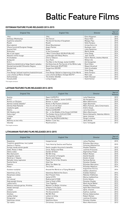## Baltic Feature Films

#### **ESTONIAN FEATURE FILMS RELEASED 2013-2015**

| <b>Original Title</b>                         | <b>English Title</b>                          | Director                     | Year of<br>Release |
|-----------------------------------------------|-----------------------------------------------|------------------------------|--------------------|
| 1944                                          | 1944                                          | Elmo Nüganen                 | 2015               |
| Vehkleja / Miekkailija                        | The Fencer                                    | Klaus Härö                   | 2015               |
| Supilinna salaselts                           | The Secret Society of Souptown                | Margus Paju                  | 2015               |
| Roukli                                        | Roukli                                        | Veiko Öunpuu                 | 2015               |
| Must alpinist                                 | <b>Ghost Mountaineer</b>                      | Urmas Eero Liiv              | 2015               |
| Vihane kunstnik/Sungnan Hwaga                 | Angry Painter                                 | Kyuhwan Jeon                 | 2015               |
| Ausma/Koit                                    | Dawn                                          | Laila Pakalnina              | 2015               |
| <b>Risttuules</b>                             | In the Crosswind                              | Martti Helde                 | 2014               |
| Ma ei tule tagasi                             | Won't Come Back (EE/RU/FI/BL/KZ)              | Ilmar Raag                   | 2014               |
| Maastik mitme kuuga                           | Landscape with Many Moons                     | Jaan Toomik                  | 2014               |
| Kirsitubakas                                  | Cherry Tobacco                                | Katrin Maimik, Andres Maimik | 2014               |
| Nullpunkt                                     | Zero Point                                    | Mihkel Ulk                   | 2014               |
| M.0.J.                                        | The Man in the Orange Jacket (LV/EE)          | Aik Karapetian               | 2014               |
| Väikelinna detektiivid ja Valge Daami saladus | Kid Detectives & The Secret of the White Lady | René Vilbre                  | 2013               |
| Mustad teemandid/ Dimantes Negros             | Black Diamonds (ES/PT/EE)                     | Miguel Alcantud              | 2013               |
| Mandariinid                                   | Tangerines (EE/GE)                            | Zaza Urushadze               | 2013               |
| Kertu                                         | Kertu                                         | Ilmar Raag                   | 2013               |
| Free Range: ballaad maailma heakskiitmisest   | Free Range: Ballad on Approving of the World  | Veiko Öunpuu                 | 2013               |
| Lisa Limone ja Maroc Orange*                  | Lisa Limone & Maroc Orange (EE/FI)*           | Mait Laas                    | 2013               |
| Kohtumõistja                                  | The Arbiter (EE/SE)                           | Kadri Kõusaar                | 2013               |
| Elavad pildid                                 | Living Images                                 | Hardi Volmer                 | 2013               |

\*Full length animation

#### **LATVIAN FEATURE FILMS RELEASED 2013-2015**

| <b>Original Title</b> | <b>English Title</b>                      | Director                            | Year of<br>Release |
|-----------------------|-------------------------------------------|-------------------------------------|--------------------|
| Ausma                 | Dawn (LV/EE/PL)                           | Laila Pakalnina                     | 2015               |
| M.O.Ž.                | Man in the Orange Jacket (LV/EE)          | Aik Karapetian                      | 2015               |
| Romeo un Džuljeta     | Romeo 'n Juliet                           | Māris Martinsons                    | 2015               |
| Akmeni manās kabatās* | Rocks in My Pockets (USA/LV)              | Signe Baumane                       | 2014               |
| Džimlai Rūdi Rallallā | Then It's Hi! Hi! Hee!                    | Māris Putninš, Jānis Cimermanis     | 2014               |
| Izlaiduma gads        | The Lesson (LV/RU)                        | Andris Gauja                        | 2014               |
| Modris                | Modris (LV/DE/GR)                         | Juris Kursietis                     | 2014               |
| OKI Okeāna vidū       | Oki - in the Middle of the Ocean (LV/USA) | Māris Martinsons                    | 2014               |
| Zelta zirgs*          | The Golden Horse (LV/LU/LT/DK)            | Reinis Kalnaellis, Valentas Aškinis | 2014               |
| Lošėjas               | The Gambler (LT/LV)                       | Ignas Jonynas                       | 2013               |
| Miglā                 | In the Fog (DE/RU/LV/BY/NL)               | Sergei Loznitsa                     | 2013               |
| Mammu es tevi mīlu    | Mother I Love You                         | Jānis Nords                         | 2013               |
| Sēnotāji              | Mushroomers                               | Ivars Tontegode                     | 2013               |

\*Full length animation

#### **LITHUANIAN FEATURE FILMS RELEASED 2013-2015**

| <b>Original Title</b>                                    | <b>English Title</b>                  | <b>Director</b>                             | Year of<br>Release |
|----------------------------------------------------------|---------------------------------------|---------------------------------------------|--------------------|
| Nepatyres                                                | Inexperienced                         | Julius Paulikas                             | 2015               |
| Traukinio apiplėšimas, kurį įvykdė<br>Saulius ir Paulius | Train Heist by Saulius and Paulius    | Ričardas Marcinkus.<br>Simonas Aškelavičius | 2015               |
| Kunigo naudą velniai gaudo                               | Devils caughts the priest's benefits  | Alvydas Šlepikas                            | 2015               |
| Dėdė, Rokas ir Nida                                      | Uncle, Rokas and Nida                 | <b>Justinas Krisiunas</b>                   | 2015               |
| Edeno sodas                                              | Garden Of Eden                        | Algimantas Puipa                            | 2015               |
| Mes Dainuosim                                            | We Will Sing                          | Robert Mullan                               | 2015               |
| Sangailės vasara                                         | The Summer of Sangaile                | Alanté Kavaïté                              | 2015               |
| Meistras ir Tatjana                                      | Master and Tatyana                    | Giedre Zickyte                              | 2015               |
| Ramybė mūsų sapnuose                                     | Peace To Us In Our Dreams             | Šarūnas Bartas                              | 2015               |
| Šventa Karvė                                             | Holy Cow                              | Donatas Ulvydas                             | 2014               |
| Pakeliui                                                 | When You Wake Up                      | Ričardas Marcinkus                          | 2014               |
| Rūsys                                                    | The Cellar                            | Ričardas Matačius                           | 2014               |
| Gustavo nuotykiai                                        | Around the World on a Flying Windmill | Augustinas Gricius,<br>Vaidas Lekavičius    | 2014               |
| Valentinas už 2ru                                        | Valentinas Behind the Doors           | Evaldas Kubilius                            | 2014               |
| Nesamasis laikas                                         | Non Present Time                      | Mykolas Vildžiūnas                          | 2014               |
| Santa                                                    | Santa (LT/FI)                         | Marius Ivaškevičius                         | 2014               |
| Už Lietuva!                                              | Redirected (LT/GB)                    | Emilis Vėlyvis                              | 2014               |
| Kaip pavogti žmoną                                       | How to Steal a Wife                   | Donatas Ulvydas                             | 2013               |
| Laikas kartu                                             | Time Together                         | Mark Aerial Waller                          | 2013               |
| Moterys meluoja geriau. Kristina                         | Women Lie Better, Kristina            | Alvydas Šlepikas                            | 2013               |
| Vardas tamsoje                                           | A Name in the Dark                    | Agnė Marcinkevičiūtė                        | 2013               |
| Lošėjas                                                  | The Gambler (LT/LV)                   | Ignas Jonynas                               | 2013               |
| Ekskursantė                                              | The Excursionist                      | Audrius Juzėnas                             | 2013               |
| <b>Streikas</b>                                          | We Will Riot                          | Romas Zabarauskas                           | 2013               |
| Laiškai Sofijai                                          | Letters to Sofija                     | Robert Mullan                               | 2013               |
| Emigrantai                                               | Emigrants                             | Justinas Krisiūna                           | 2013               |
| Valentinas vienas                                        | Valentine Alone                       | Donatas Ulvydas                             | 2013               |
| Tyli naktis                                              | Christmas, Uncensored                 | Maris Martinsons                            | 2013               |